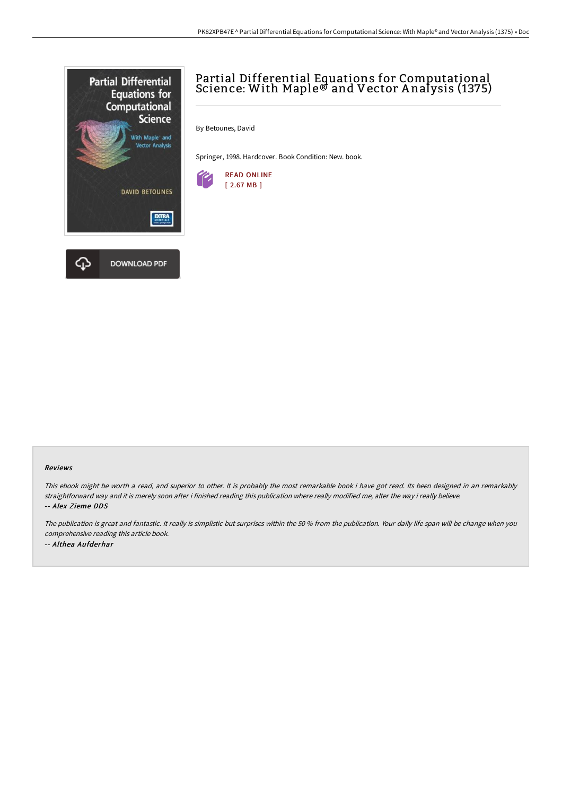

## Partial Differential Equations for Computational Science: With Maple® and Vector A nalysis (1375)

By Betounes, David

Springer, 1998. Hardcover. Book Condition: New. book.



## Reviews

This ebook might be worth <sup>a</sup> read, and superior to other. It is probably the most remarkable book i have got read. Its been designed in an remarkably straightforward way and it is merely soon after i finished reading this publication where really modified me, alter the way i really believe. -- Alex Zieme DDS

The publication is great and fantastic. It really is simplistic but surprises within the <sup>50</sup> % from the publication. Your daily life span will be change when you comprehensive reading this article book. -- Althea Aufderhar